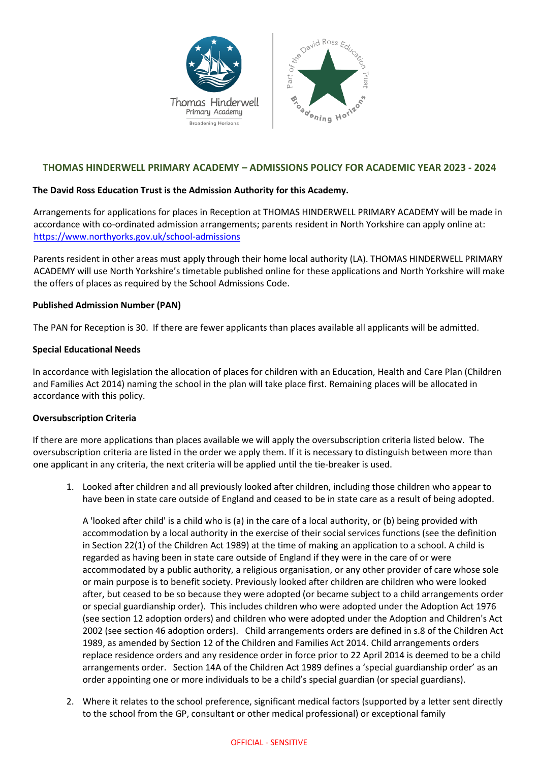

# **THOMAS HINDERWELL PRIMARY ACADEMY – ADMISSIONS POLICY FOR ACADEMIC YEAR 2023 - 2024**

## **The David Ross Education Trust is the Admission Authority for this Academy.**

Arrangements for applications for places in Reception at THOMAS HINDERWELL PRIMARY ACADEMY will be made in accordance with co-ordinated admission arrangements; parents resident in North Yorkshire can apply online at: <https://www.northyorks.gov.uk/school-admissions>

Parents resident in other areas must apply through their home local authority (LA). THOMAS HINDERWELL PRIMARY ACADEMY will use North Yorkshire's timetable published online for these applications and North Yorkshire will make the offers of places as required by the School Admissions Code.

## **Published Admission Number (PAN)**

The PAN for Reception is 30. If there are fewer applicants than places available all applicants will be admitted.

## **Special Educational Needs**

In accordance with legislation the allocation of places for children with an Education, Health and Care Plan (Children and Families Act 2014) naming the school in the plan will take place first. Remaining places will be allocated in accordance with this policy.

## **Oversubscription Criteria**

If there are more applications than places available we will apply the oversubscription criteria listed below. The oversubscription criteria are listed in the order we apply them. If it is necessary to distinguish between more than one applicant in any criteria, the next criteria will be applied until the tie-breaker is used.

1. Looked after children and all previously looked after children, including those children who appear to have been in state care outside of England and ceased to be in state care as a result of being adopted.

A 'looked after child' is a child who is (a) in the care of a local authority, or (b) being provided with accommodation by a local authority in the exercise of their social services functions (see the definition in Section 22(1) of the Children Act 1989) at the time of making an application to a school. A child is regarded as having been in state care outside of England if they were in the care of or were accommodated by a public authority, a religious organisation, or any other provider of care whose sole or main purpose is to benefit society. Previously looked after children are children who were looked after, but ceased to be so because they were adopted (or became subject to a child arrangements order or special guardianship order). This includes children who were adopted under the Adoption Act 1976 (see section 12 adoption orders) and children who were adopted under the Adoption and Children's Act 2002 (see section 46 adoption orders). Child arrangements orders are defined in s.8 of the Children Act 1989, as amended by Section 12 of the Children and Families Act 2014. Child arrangements orders replace residence orders and any residence order in force prior to 22 April 2014 is deemed to be a child arrangements order. Section 14A of the Children Act 1989 defines a 'special guardianship order' as an order appointing one or more individuals to be a child's special guardian (or special guardians).

2. Where it relates to the school preference, significant medical factors (supported by a letter sent directly to the school from the GP, consultant or other medical professional) or exceptional family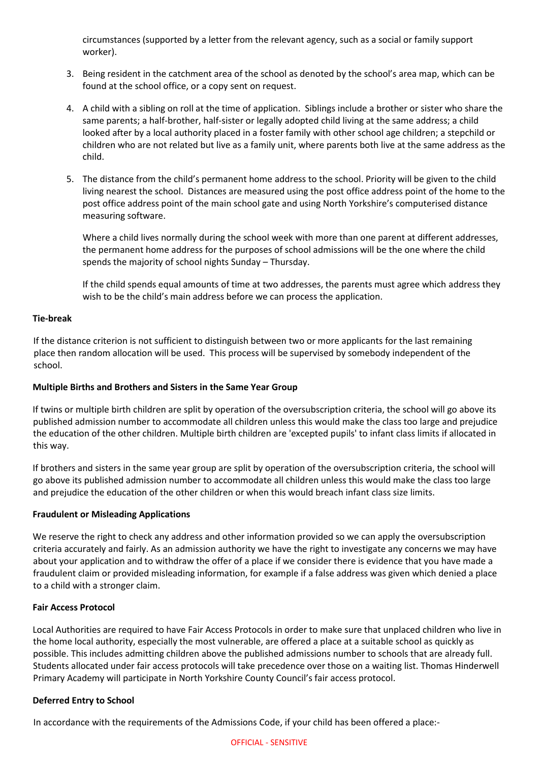circumstances (supported by a letter from the relevant agency, such as a social or family support worker).

- 3. Being resident in the catchment area of the school as denoted by the school's area map, which can be found at the school office, or a copy sent on request.
- 4. A child with a sibling on roll at the time of application. Siblings include a brother or sister who share the same parents; a half-brother, half-sister or legally adopted child living at the same address; a child looked after by a local authority placed in a foster family with other school age children; a stepchild or children who are not related but live as a family unit, where parents both live at the same address as the child.
- 5. The distance from the child's permanent home address to the school. Priority will be given to the child living nearest the school. Distances are measured using the post office address point of the home to the post office address point of the main school gate and using North Yorkshire's computerised distance measuring software.

Where a child lives normally during the school week with more than one parent at different addresses, the permanent home address for the purposes of school admissions will be the one where the child spends the majority of school nights Sunday – Thursday.

If the child spends equal amounts of time at two addresses, the parents must agree which address they wish to be the child's main address before we can process the application.

## **Tie-break**

If the distance criterion is not sufficient to distinguish between two or more applicants for the last remaining place then random allocation will be used. This process will be supervised by somebody independent of the school.

# **Multiple Births and Brothers and Sisters in the Same Year Group**

If twins or multiple birth children are split by operation of the oversubscription criteria, the school will go above its published admission number to accommodate all children unless this would make the class too large and prejudice the education of the other children. Multiple birth children are 'excepted pupils' to infant class limits if allocated in this way.

If brothers and sisters in the same year group are split by operation of the oversubscription criteria, the school will go above its published admission number to accommodate all children unless this would make the class too large and prejudice the education of the other children or when this would breach infant class size limits.

## **Fraudulent or Misleading Applications**

We reserve the right to check any address and other information provided so we can apply the oversubscription criteria accurately and fairly. As an admission authority we have the right to investigate any concerns we may have about your application and to withdraw the offer of a place if we consider there is evidence that you have made a fraudulent claim or provided misleading information, for example if a false address was given which denied a place to a child with a stronger claim.

## **Fair Access Protocol**

Local Authorities are required to have Fair Access Protocols in order to make sure that unplaced children who live in the home local authority, especially the most vulnerable, are offered a place at a suitable school as quickly as possible. This includes admitting children above the published admissions number to schools that are already full. Students allocated under fair access protocols will take precedence over those on a waiting list. Thomas Hinderwell Primary Academy will participate in North Yorkshire County Council's fair access protocol.

# **Deferred Entry to School**

In accordance with the requirements of the Admissions Code, if your child has been offered a place:-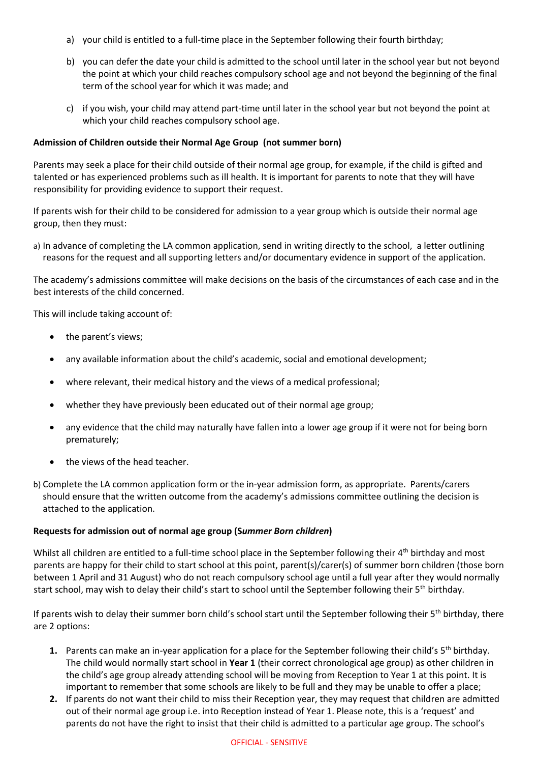- a) your child is entitled to a full-time place in the September following their fourth birthday;
- b) you can defer the date your child is admitted to the school until later in the school year but not beyond the point at which your child reaches compulsory school age and not beyond the beginning of the final term of the school year for which it was made; and
- c) if you wish, your child may attend part-time until later in the school year but not beyond the point at which your child reaches compulsory school age.

## **Admission of Children outside their Normal Age Group (not summer born)**

Parents may seek a place for their child outside of their normal age group, for example, if the child is gifted and talented or has experienced problems such as ill health. It is important for parents to note that they will have responsibility for providing evidence to support their request.

If parents wish for their child to be considered for admission to a year group which is outside their normal age group, then they must:

a) In advance of completing the LA common application, send in writing directly to the school, a letter outlining reasons for the request and all supporting letters and/or documentary evidence in support of the application.

The academy's admissions committee will make decisions on the basis of the circumstances of each case and in the best interests of the child concerned.

This will include taking account of:

- the parent's views;
- any available information about the child's academic, social and emotional development;
- where relevant, their medical history and the views of a medical professional;
- whether they have previously been educated out of their normal age group;
- any evidence that the child may naturally have fallen into a lower age group if it were not for being born prematurely;
- the views of the head teacher.
- b) Complete the LA common application form or the in-year admission form, as appropriate. Parents/carers should ensure that the written outcome from the academy's admissions committee outlining the decision is attached to the application.

## **Requests for admission out of normal age group (S***ummer Born children***)**

Whilst all children are entitled to a full-time school place in the September following their 4<sup>th</sup> birthday and most parents are happy for their child to start school at this point, parent(s)/carer(s) of summer born children (those born between 1 April and 31 August) who do not reach compulsory school age until a full year after they would normally start school, may wish to delay their child's start to school until the September following their 5<sup>th</sup> birthday.

If parents wish to delay their summer born child's school start until the September following their 5<sup>th</sup> birthday, there are 2 options:

- **1.** Parents can make an in-year application for a place for the September following their child's 5th birthday. The child would normally start school in **Year 1** (their correct chronological age group) as other children in the child's age group already attending school will be moving from Reception to Year 1 at this point. It is important to remember that some schools are likely to be full and they may be unable to offer a place;
- **2.** If parents do not want their child to miss their Reception year, they may request that children are admitted out of their normal age group i.e. into Reception instead of Year 1. Please note, this is a 'request' and parents do not have the right to insist that their child is admitted to a particular age group. The school's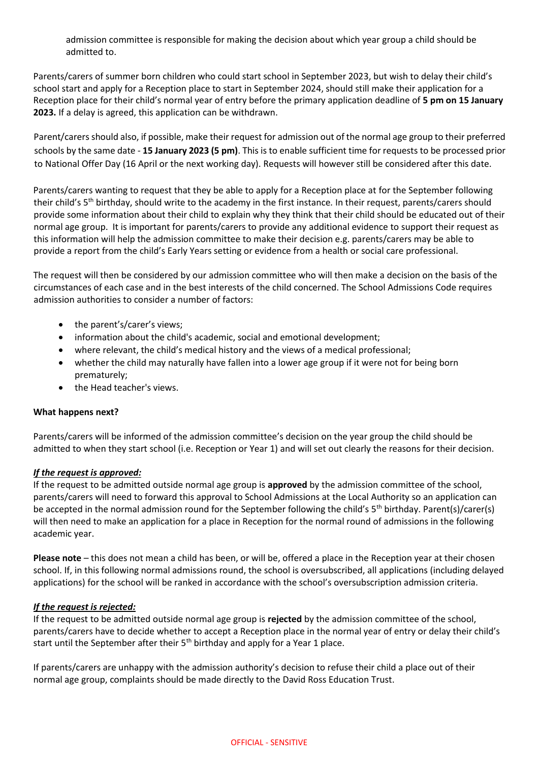admission committee is responsible for making the decision about which year group a child should be admitted to.

Parents/carers of summer born children who could start school in September 2023, but wish to delay their child's school start and apply for a Reception place to start in September 2024, should still make their application for a Reception place for their child's normal year of entry before the primary application deadline of **5 pm on 15 January 2023.** If a delay is agreed, this application can be withdrawn.

Parent/carers should also, if possible, make their request for admission out of the normal age group to their preferred schools by the same date - **15 January 2023 (5 pm)**. This is to enable sufficient time for requests to be processed prior to National Offer Day (16 April or the next working day). Requests will however still be considered after this date.

Parents/carers wanting to request that they be able to apply for a Reception place at for the September following their child's 5th birthday, should write to the academy in the first instance*.* In their request, parents/carers should provide some information about their child to explain why they think that their child should be educated out of their normal age group. It is important for parents/carers to provide any additional evidence to support their request as this information will help the admission committee to make their decision e.g. parents/carers may be able to provide a report from the child's Early Years setting or evidence from a health or social care professional.

The request will then be considered by our admission committee who will then make a decision on the basis of the circumstances of each case and in the best interests of the child concerned. The School Admissions Code requires admission authorities to consider a number of factors:

- the parent's/carer's views;
- information about the child's academic, social and emotional development;
- where relevant, the child's medical history and the views of a medical professional;
- whether the child may naturally have fallen into a lower age group if it were not for being born prematurely;
- the Head teacher's views.

# **What happens next?**

Parents/carers will be informed of the admission committee's decision on the year group the child should be admitted to when they start school (i.e. Reception or Year 1) and will set out clearly the reasons for their decision.

# *If the request is approved:*

If the request to be admitted outside normal age group is **approved** by the admission committee of the school, parents/carers will need to forward this approval to School Admissions at the Local Authority so an application can be accepted in the normal admission round for the September following the child's 5<sup>th</sup> birthday. Parent(s)/carer(s) will then need to make an application for a place in Reception for the normal round of admissions in the following academic year.

**Please note** – this does not mean a child has been, or will be, offered a place in the Reception year at their chosen school. If, in this following normal admissions round, the school is oversubscribed, all applications (including delayed applications) for the school will be ranked in accordance with the school's oversubscription admission criteria.

# *If the request is rejected:*

If the request to be admitted outside normal age group is **rejected** by the admission committee of the school, parents/carers have to decide whether to accept a Reception place in the normal year of entry or delay their child's start until the September after their 5<sup>th</sup> birthday and apply for a Year 1 place.

If parents/carers are unhappy with the admission authority's decision to refuse their child a place out of their normal age group, complaints should be made directly to the David Ross Education Trust.